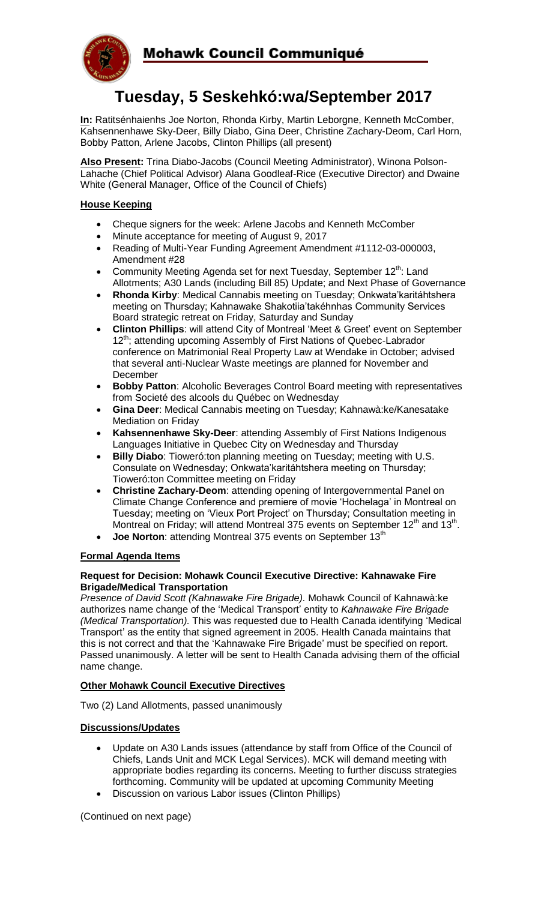

# **Tuesday, 5 Seskehkó:wa/September 2017**

**In:** Ratitsénhaienhs Joe Norton, Rhonda Kirby, Martin Leborgne, Kenneth McComber, Kahsennenhawe Sky-Deer, Billy Diabo, Gina Deer, Christine Zachary-Deom, Carl Horn, Bobby Patton, Arlene Jacobs, Clinton Phillips (all present)

**Also Present:** Trina Diabo-Jacobs (Council Meeting Administrator), Winona Polson-Lahache (Chief Political Advisor) Alana Goodleaf-Rice (Executive Director) and Dwaine White (General Manager, Office of the Council of Chiefs)

### **House Keeping**

- Cheque signers for the week: Arlene Jacobs and Kenneth McComber
- Minute acceptance for meeting of August 9, 2017
- Reading of Multi-Year Funding Agreement Amendment #1112-03-000003, Amendment #28
- Community Meeting Agenda set for next Tuesday, September  $12^{th}$ : Land Allotments; A30 Lands (including Bill 85) Update; and Next Phase of Governance
- **Rhonda Kirby**: Medical Cannabis meeting on Tuesday; Onkwata'karitáhtshera meeting on Thursday; Kahnawake Shakotiia'takéhnhas Community Services Board strategic retreat on Friday, Saturday and Sunday
- **Clinton Phillips**: will attend City of Montreal 'Meet & Greet' event on September 12<sup>th</sup>; attending upcoming Assembly of First Nations of Quebec-Labrador conference on Matrimonial Real Property Law at Wendake in October; advised that several anti-Nuclear Waste meetings are planned for November and December
- **Bobby Patton:** Alcoholic Beverages Control Board meeting with representatives from Societé des alcools du Québec on Wednesday
- **Gina Deer**: Medical Cannabis meeting on Tuesday; Kahnawà:ke/Kanesatake Mediation on Friday
- **Kahsennenhawe Sky-Deer**: attending Assembly of First Nations Indigenous Languages Initiative in Quebec City on Wednesday and Thursday
- **Billy Diabo**: Tioweró:ton planning meeting on Tuesday; meeting with U.S. Consulate on Wednesday; Onkwata'karitáhtshera meeting on Thursday; Tioweró:ton Committee meeting on Friday
- **Christine Zachary-Deom**: attending opening of Intergovernmental Panel on Climate Change Conference and premiere of movie 'Hochelaga' in Montreal on Tuesday; meeting on 'Vieux Port Project' on Thursday; Consultation meeting in Montreal on Friday; will attend Montreal 375 events on September 12<sup>th</sup> and 13<sup>th</sup>.
- **Joe Norton**: attending Montreal 375 events on September 13<sup>th</sup>

## **Formal Agenda Items**

#### **Request for Decision: Mohawk Council Executive Directive: Kahnawake Fire Brigade/Medical Transportation**

*Presence of David Scott (Kahnawake Fire Brigade).* Mohawk Council of Kahnawà:ke authorizes name change of the 'Medical Transport' entity to *Kahnawake Fire Brigade (Medical Transportation).* This was requested due to Health Canada identifying 'Medical Transport' as the entity that signed agreement in 2005. Health Canada maintains that this is not correct and that the 'Kahnawake Fire Brigade' must be specified on report. Passed unanimously. A letter will be sent to Health Canada advising them of the official name change.

#### **Other Mohawk Council Executive Directives**

Two (2) Land Allotments, passed unanimously

## **Discussions/Updates**

- Update on A30 Lands issues (attendance by staff from Office of the Council of Chiefs, Lands Unit and MCK Legal Services). MCK will demand meeting with appropriate bodies regarding its concerns. Meeting to further discuss strategies forthcoming. Community will be updated at upcoming Community Meeting
- Discussion on various Labor issues (Clinton Phillips)

(Continued on next page)